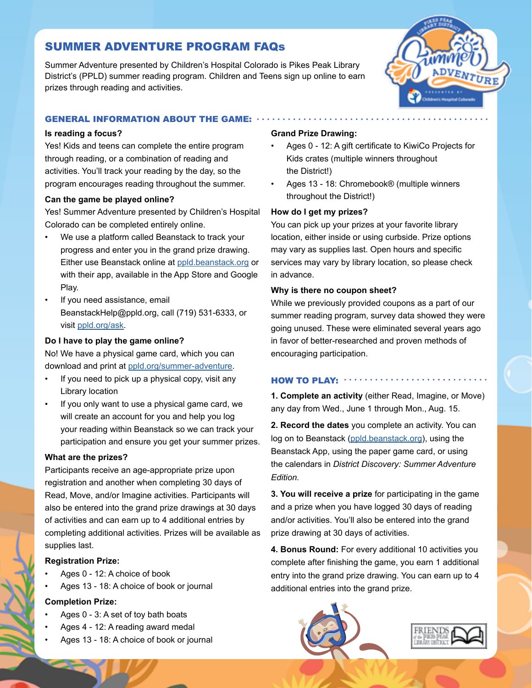# SUMMER ADVENTURE PROGRAM FAQs

Summer Adventure presented by Children's Hospital Colorado is Pikes Peak Library District's (PPLD) summer reading program. Children and Teens sign up online to earn prizes through reading and activities.



## GENERAL INFORMATION ABOUT THE GAME:

## **Is reading a focus?**

Yes! Kids and teens can complete the entire program through reading, or a combination of reading and activities. You'll track your reading by the day, so the program encourages reading throughout the summer.

## **Can the game be played online?**

Yes! Summer Adventure presented by Children's Hospital Colorado can be completed entirely online.

- We use a platform called Beanstack to track your progress and enter you in the grand prize drawing. Either use Beanstack online at [ppld.beanstack.org](http://ppld.beanstack.org) or with their app, available in the App Store and Google Play.
- If you need assistance, email BeanstackHelp@ppld.org, call (719) 531-6333, or visit [ppld.org/ask](http://ppld.org/ask).

## **Do I have to play the game online?**

No! We have a physical game card, which you can download and print at [ppld.org/summer-adventure](http://ppld.org/summer-adventure).

- If you need to pick up a physical copy, visit any Library location
- If you only want to use a physical game card, we will create an account for you and help you log your reading within Beanstack so we can track your participation and ensure you get your summer prizes.

## **What are the prizes?**

Participants receive an age-appropriate prize upon registration and another when completing 30 days of Read, Move, and/or Imagine activities. Participants will also be entered into the grand prize drawings at 30 days of activities and can earn up to 4 additional entries by completing additional activities. Prizes will be available as supplies last.

## **Registration Prize:**

- Ages 0 12: A choice of book
- Ages 13 18: A choice of book or journal

## **Completion Prize:**

- Ages 0 3: A set of toy bath boats
- Ages 4 12: A reading award medal
- Ages 13 18: A choice of book or journal

## **Grand Prize Drawing:**

- Ages 0 12: A gift certificate to KiwiCo Projects for Kids crates (multiple winners throughout the District!)
- Ages 13 18: Chromebook® (multiple winners throughout the District!)

## **How do I get my prizes?**

You can pick up your prizes at your favorite library location, either inside or using curbside. Prize options may vary as supplies last. Open hours and specific services may vary by library location, so please check in advance.

## **Why is there no coupon sheet?**

While we previously provided coupons as a part of our summer reading program, survey data showed they were going unused. These were eliminated several years ago in favor of better-researched and proven methods of encouraging participation.

#### HOW TO PLAY: ...........

**1. Complete an activity** (either Read, Imagine, or Move) any day from Wed., June 1 through Mon., Aug. 15.

**2. Record the dates** you complete an activity. You can log on to Beanstack ([ppld.beanstack.org\)](http://ppld.beanstack.org), using the Beanstack App, using the paper game card, or using the calendars in *District Discovery: Summer Adventure Edition.*

**3. You will receive a prize** for participating in the game and a prize when you have logged 30 days of reading and/or activities. You'll also be entered into the grand prize drawing at 30 days of activities.

**4. Bonus Round:** For every additional 10 activities you complete after finishing the game, you earn 1 additional entry into the grand prize drawing. You can earn up to 4 additional entries into the grand prize.